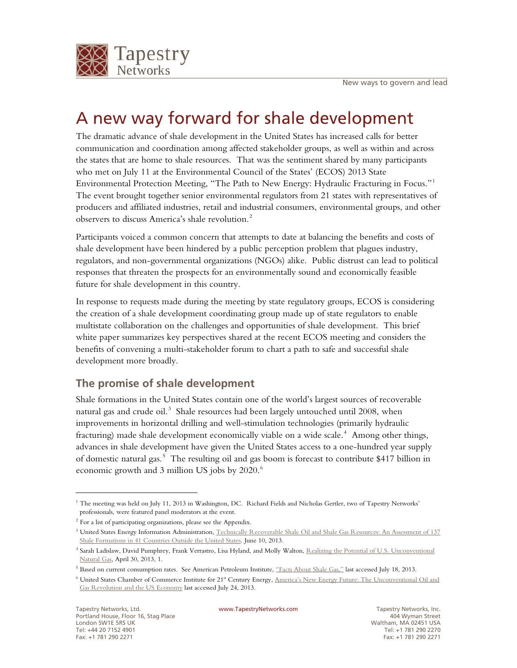

# A new way forward for shale development

The dramatic advance of shale development in the United States has increased calls for better communication and coordination among affected stakeholder groups, as well as within and across the states that are home to shale resources. That was the sentiment shared by many participants who met on July 11 at the Environmental Council of the States' (ECOS) 2013 State Environmental Protection Meeting, "The Path to New Energy: Hydraulic Fracturing in Focus."[1](#page-0-0) The event brought together senior environmental regulators from 21 states with representatives of producers and affiliated industries, retail and industrial consumers, environmental groups, and other observers to discuss America's shale revolution.<sup>[2](#page-0-1)</sup>

Participants voiced a common concern that attempts to date at balancing the benefits and costs of shale development have been hindered by a public perception problem that plagues industry, regulators, and non-governmental organizations (NGOs) alike. Public distrust can lead to political responses that threaten the prospects for an environmentally sound and economically feasible future for shale development in this country.

In response to requests made during the meeting by state regulatory groups, ECOS is considering the creation of a shale development coordinating group made up of state regulators to enable multistate collaboration on the challenges and opportunities of shale development. This brief white paper summarizes key perspectives shared at the recent ECOS meeting and considers the benefits of convening a multi-stakeholder forum to chart a path to safe and successful shale development more broadly.

## **The promise of shale development**

Shale formations in the United States contain one of the world's largest sources of recoverable natural gas and crude oil.<sup>[3](#page-0-2)</sup> Shale resources had been largely untouched until 2008, when improvements in horizontal drilling and well-stimulation technologies (primarily hydraulic fracturing) made shale development economically viable on a wide scale.<sup>[4](#page-0-3)</sup> Among other things, advances in shale development have given the United States access to a one-hundred year supply of domestic natural gas.<sup>[5](#page-0-4)</sup> The resulting oil and gas boom is forecast to contribute \$417 billion in economic growth and 3 million US jobs by 2020.<sup>[6](#page-0-5)</sup>

<span id="page-0-0"></span><sup>&</sup>lt;sup>1</sup> The meeting was held on July 11, 2013 in Washington, DC. Richard Fields and Nicholas Gertler, two of Tapestry Networks' professionals, were featured panel moderators at the event.

<span id="page-0-2"></span><span id="page-0-1"></span><sup>2</sup> For a list of participating organizations, please see the Appendix.

<sup>&</sup>lt;sup>3</sup> United States Energy Information Administration, Technically Recoverable Shale Oil and Shale Gas Resources: An Assessment of 137 [Shale Formations in 41 Countries Outside the United States,](http://www.eia.gov/analysis/studies/worldshalegas/) June 10, 2013.

<span id="page-0-3"></span><sup>&</sup>lt;sup>4</sup> Sarah Ladislaw, David Pumphrey, Frank Verrastro, Lisa Hyland, and Molly Walton, Realizing the Potential of U.S. Unconventional [Natural Gas,](http://csis.org/publication/realizing-potential-us-unconventional-natural-gas) April 30, 2013, 1.

<span id="page-0-5"></span><span id="page-0-4"></span><sup>&</sup>lt;sup>5</sup> Based on current consumption rates. See American Petroleum Institute, ["Facts About Shale Gas,"](http://www.api.org/policy-and-issues/policy-items/exploration/facts_about_shale_gas) last accessed July 18, 2013.

<sup>&</sup>lt;sup>6</sup> United States Chamber of Commerce Institute for 21<sup>st</sup> Century Energy, America's New Energy Future: The Unconventional Oil and [Gas Revolution and the US Economy](http://www.energyxxi.org/americas-energy-future) last accessed July 24, 2013.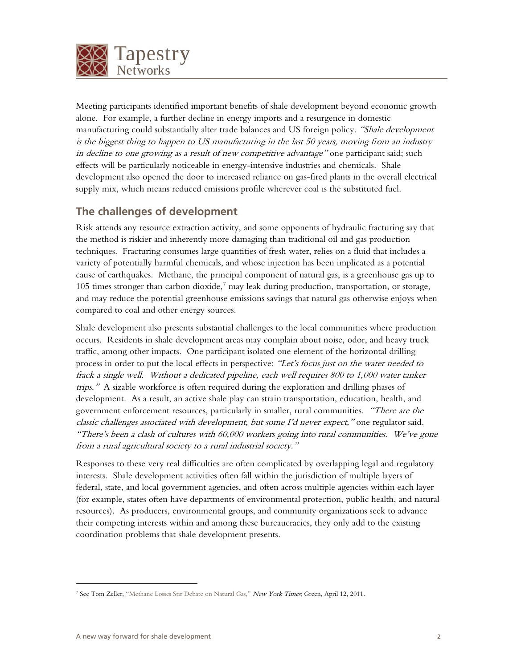

Meeting participants identified important benefits of shale development beyond economic growth alone. For example, a further decline in energy imports and a resurgence in domestic manufacturing could substantially alter trade balances and US foreign policy. "Shale development is the biggest thing to happen to US manufacturing in the last 50 years, moving from an industry in decline to one growing as a result of new competitive advantage" one participant said; such effects will be particularly noticeable in energy-intensive industries and chemicals. Shale development also opened the door to increased reliance on gas-fired plants in the overall electrical supply mix, which means reduced emissions profile wherever coal is the substituted fuel.

#### **The challenges of development**

Risk attends any resource extraction activity, and some opponents of hydraulic fracturing say that the method is riskier and inherently more damaging than traditional oil and gas production techniques. Fracturing consumes large quantities of fresh water, relies on a fluid that includes a variety of potentially harmful chemicals, and whose injection has been implicated as a potential cause of earthquakes. Methane, the principal component of natural gas, is a greenhouse gas up to 105 times stronger than carbon dioxide,<sup>[7](#page-1-0)</sup> may leak during production, transportation, or storage, and may reduce the potential greenhouse emissions savings that natural gas otherwise enjoys when compared to coal and other energy sources.

Shale development also presents substantial challenges to the local communities where production occurs. Residents in shale development areas may complain about noise, odor, and heavy truck traffic, among other impacts. One participant isolated one element of the horizontal drilling process in order to put the local effects in perspective: "Let's focus just on the water needed to frack a single well. Without a dedicated pipeline, each well requires 800 to 1,000 water tanker trips." A sizable workforce is often required during the exploration and drilling phases of development. As a result, an active shale play can strain transportation, education, health, and government enforcement resources, particularly in smaller, rural communities. "There are the classic challenges associated with development, but some I'd never expect," one regulator said. "There's been a clash of cultures with 60,000 workers going into rural communities. We've gone from a rural agricultural society to a rural industrial society."

Responses to these very real difficulties are often complicated by overlapping legal and regulatory interests. Shale development activities often fall within the jurisdiction of multiple layers of federal, state, and local government agencies, and often across multiple agencies within each layer (for example, states often have departments of environmental protection, public health, and natural resources). As producers, environmental groups, and community organizations seek to advance their competing interests within and among these bureaucracies, they only add to the existing coordination problems that shale development presents.

<span id="page-1-0"></span><sup>&</sup>lt;sup>7</sup> See Tom Zeller, ["Methane Losses Stir Debate on Natural Gas,"](http://green.blogs.nytimes.com/2011/04/12/fugitive-methane-stirs-debate-on-natural-gas/) New York Times; Green, April 12, 2011.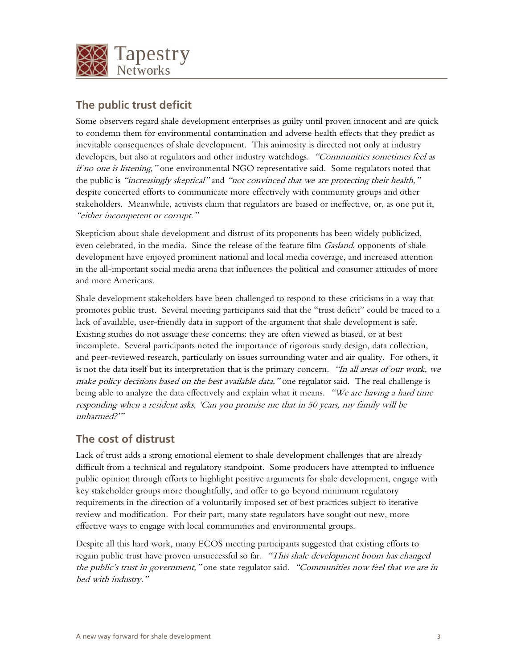

## **The public trust deficit**

Some observers regard shale development enterprises as guilty until proven innocent and are quick to condemn them for environmental contamination and adverse health effects that they predict as inevitable consequences of shale development. This animosity is directed not only at industry developers, but also at regulators and other industry watchdogs. "Communities sometimes feel as if no one is listening," one environmental NGO representative said. Some regulators noted that the public is "increasingly skeptical" and "not convinced that we are protecting their health," despite concerted efforts to communicate more effectively with community groups and other stakeholders. Meanwhile, activists claim that regulators are biased or ineffective, or, as one put it, "either incompetent or corrupt."

Skepticism about shale development and distrust of its proponents has been widely publicized, even celebrated, in the media. Since the release of the feature film *Gasland*, opponents of shale development have enjoyed prominent national and local media coverage, and increased attention in the all-important social media arena that influences the political and consumer attitudes of more and more Americans.

Shale development stakeholders have been challenged to respond to these criticisms in a way that promotes public trust. Several meeting participants said that the "trust deficit" could be traced to a lack of available, user-friendly data in support of the argument that shale development is safe. Existing studies do not assuage these concerns: they are often viewed as biased, or at best incomplete. Several participants noted the importance of rigorous study design, data collection, and peer-reviewed research, particularly on issues surrounding water and air quality. For others, it is not the data itself but its interpretation that is the primary concern. "In all areas of our work, we make policy decisions based on the best available data," one regulator said. The real challenge is being able to analyze the data effectively and explain what it means. "We are having a hard time responding when a resident asks, 'Can you promise me that in 50 years, my family will be unharmed?'"

#### **The cost of distrust**

Lack of trust adds a strong emotional element to shale development challenges that are already difficult from a technical and regulatory standpoint. Some producers have attempted to influence public opinion through efforts to highlight positive arguments for shale development, engage with key stakeholder groups more thoughtfully, and offer to go beyond minimum regulatory requirements in the direction of a voluntarily imposed set of best practices subject to iterative review and modification. For their part, many state regulators have sought out new, more effective ways to engage with local communities and environmental groups.

Despite all this hard work, many ECOS meeting participants suggested that existing efforts to regain public trust have proven unsuccessful so far. "This shale development boom has changed the public's trust in government," one state regulator said. "Communities now feel that we are in bed with industry."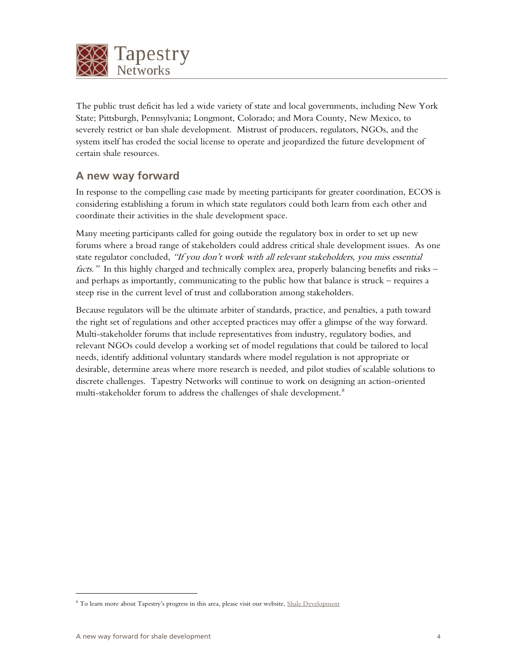

The public trust deficit has led a wide variety of state and local governments, including New York State; Pittsburgh, Pennsylvania; Longmont, Colorado; and Mora County, New Mexico, to severely restrict or ban shale development. Mistrust of producers, regulators, NGOs, and the system itself has eroded the social license to operate and jeopardized the future development of certain shale resources.

## **A new way forward**

In response to the compelling case made by meeting participants for greater coordination, ECOS is considering establishing a forum in which state regulators could both learn from each other and coordinate their activities in the shale development space.

Many meeting participants called for going outside the regulatory box in order to set up new forums where a broad range of stakeholders could address critical shale development issues. As one state regulator concluded, "If you don't work with all relevant stakeholders, you miss essential facts." In this highly charged and technically complex area, properly balancing benefits and risks – and perhaps as importantly, communicating to the public how that balance is struck – requires a steep rise in the current level of trust and collaboration among stakeholders.

Because regulators will be the ultimate arbiter of standards, practice, and penalties, a path toward the right set of regulations and other accepted practices may offer a glimpse of the way forward. Multi-stakeholder forums that include representatives from industry, regulatory bodies, and relevant NGOs could develop a working set of model regulations that could be tailored to local needs, identify additional voluntary standards where model regulation is not appropriate or desirable, determine areas where more research is needed, and pilot studies of scalable solutions to discrete challenges. Tapestry Networks will continue to work on designing an action-oriented multi-stakeholder forum to address the challenges of shale development.<sup>[8](#page-3-0)</sup>

<span id="page-3-0"></span><sup>&</sup>lt;sup>8</sup> To learn more about Tapestry's progress in this area, please visit our website[, Shale Development](http://www.tapestrynetworks.com/progress/emerging-initiatives-shale-development.cfm)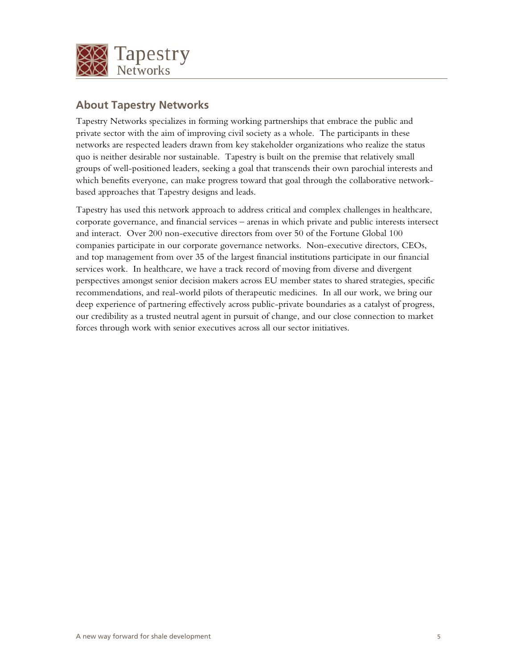

### **About Tapestry Networks**

Tapestry Networks specializes in forming working partnerships that embrace the public and private sector with the aim of improving civil society as a whole. The participants in these networks are respected leaders drawn from key stakeholder organizations who realize the status quo is neither desirable nor sustainable. Tapestry is built on the premise that relatively small groups of well-positioned leaders, seeking a goal that transcends their own parochial interests and which benefits everyone, can make progress toward that goal through the collaborative networkbased approaches that Tapestry designs and leads.

Tapestry has used this network approach to address critical and complex challenges in healthcare, corporate governance, and financial services – arenas in which private and public interests intersect and interact. Over 200 non-executive directors from over 50 of the Fortune Global 100 companies participate in our corporate governance networks. Non-executive directors, CEOs, and top management from over 35 of the largest financial institutions participate in our financial services work. In healthcare, we have a track record of moving from diverse and divergent perspectives amongst senior decision makers across EU member states to shared strategies, specific recommendations, and real-world pilots of therapeutic medicines. In all our work, we bring our deep experience of partnering effectively across public-private boundaries as a catalyst of progress, our credibility as a trusted neutral agent in pursuit of change, and our close connection to market forces through work with senior executives across all our sector initiatives.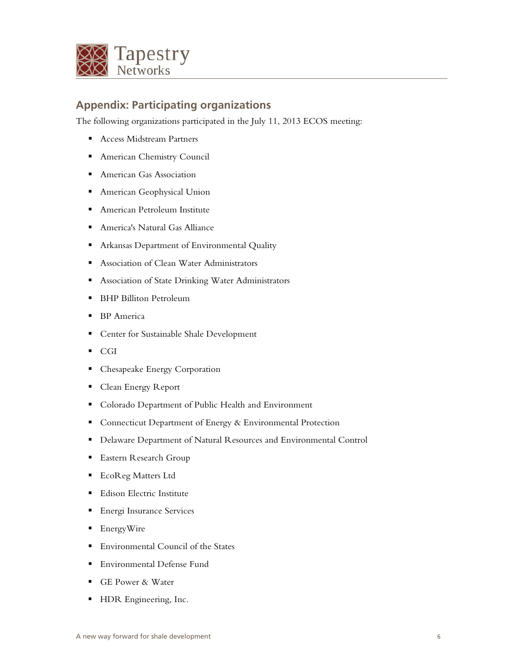

### **Appendix: Participating organizations**

The following organizations participated in the July 11, 2013 ECOS meeting:

- Access Midstream Partners
- American Chemistry Council
- American Gas Association
- American Geophysical Union
- American Petroleum Institute
- America's Natural Gas Alliance
- Arkansas Department of Environmental Quality
- Association of Clean Water Administrators
- Association of State Drinking Water Administrators
- BHP Billiton Petroleum
- BP America
- Center for Sustainable Shale Development
- CGI
- Chesapeake Energy Corporation
- Clean Energy Report
- Colorado Department of Public Health and Environment
- Connecticut Department of Energy & Environmental Protection
- Delaware Department of Natural Resources and Environmental Control
- Eastern Research Group
- EcoReg Matters Ltd
- Edison Electric Institute
- Energi Insurance Services
- EnergyWire
- Environmental Council of the States
- Environmental Defense Fund
- GE Power & Water
- **HDR** Engineering, Inc.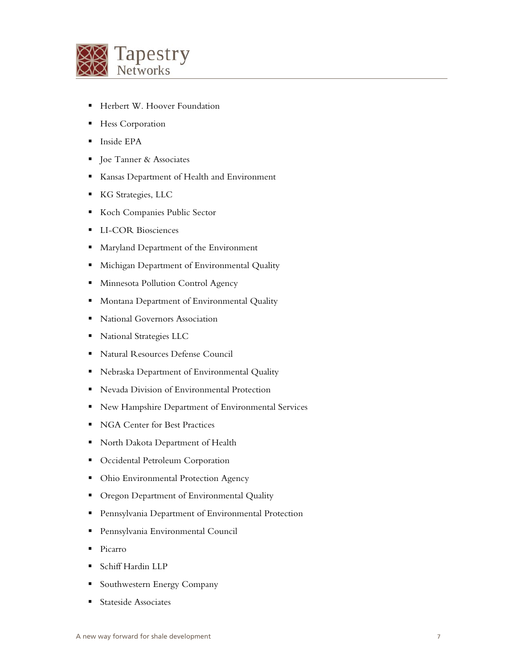

- Herbert W. Hoover Foundation
- Hess Corporation
- Inside EPA
- Joe Tanner & Associates
- Kansas Department of Health and Environment
- KG Strategies, LLC
- Koch Companies Public Sector
- **LI-COR Biosciences**
- Maryland Department of the Environment
- **Michigan Department of Environmental Quality**
- Minnesota Pollution Control Agency
- **Montana Department of Environmental Quality**
- National Governors Association
- **National Strategies LLC**
- Natural Resources Defense Council
- Nebraska Department of Environmental Quality
- Nevada Division of Environmental Protection
- New Hampshire Department of Environmental Services
- NGA Center for Best Practices
- North Dakota Department of Health
- **•** Occidental Petroleum Corporation
- Ohio Environmental Protection Agency
- Oregon Department of Environmental Quality
- Pennsylvania Department of Environmental Protection
- Pennsylvania Environmental Council
- Picarro
- Schiff Hardin LLP
- Southwestern Energy Company
- Stateside Associates